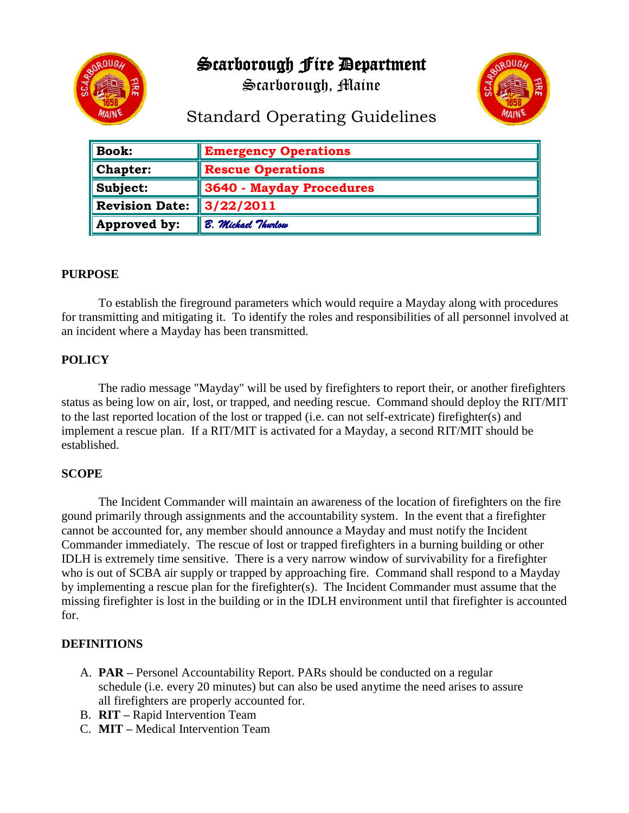

Scarborough Fire Department

Scarborough, Maine



# Standard Operating Guidelines

| <b>Book:</b>          | <b>Emergency Operations</b> |
|-----------------------|-----------------------------|
| Chapter:              | <b>Rescue Operations</b>    |
| Subject:              | 3640 - Mayday Procedures    |
| <b>Revision Date:</b> | $\parallel$ 3/22/2011       |
| Approved by:          | B. Michael Thurlow          |

#### **PURPOSE**

To establish the fireground parameters which would require a Mayday along with procedures for transmitting and mitigating it. To identify the roles and responsibilities of all personnel involved at an incident where a Mayday has been transmitted.

#### **POLICY**

The radio message "Mayday" will be used by firefighters to report their, or another firefighters status as being low on air, lost, or trapped, and needing rescue. Command should deploy the RIT/MIT to the last reported location of the lost or trapped (i.e. can not self-extricate) firefighter(s) and implement a rescue plan. If a RIT/MIT is activated for a Mayday, a second RIT/MIT should be established.

# **SCOPE**

The Incident Commander will maintain an awareness of the location of firefighters on the fire gound primarily through assignments and the accountability system. In the event that a firefighter cannot be accounted for, any member should announce a Mayday and must notify the Incident Commander immediately. The rescue of lost or trapped firefighters in a burning building or other IDLH is extremely time sensitive. There is a very narrow window of survivability for a firefighter who is out of SCBA air supply or trapped by approaching fire. Command shall respond to a Mayday by implementing a rescue plan for the firefighter(s). The Incident Commander must assume that the missing firefighter is lost in the building or in the IDLH environment until that firefighter is accounted for.

# **DEFINITIONS**

- A. **PAR –** Personel Accountability Report. PARs should be conducted on a regular schedule (i.e. every 20 minutes) but can also be used anytime the need arises to assure all firefighters are properly accounted for.
- B. **RIT –** Rapid Intervention Team
- C. **MIT –** Medical Intervention Team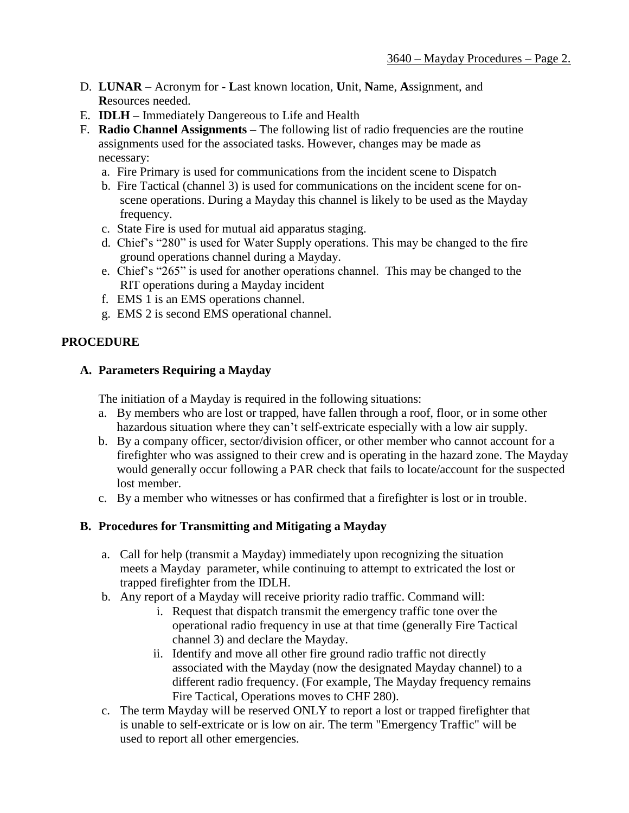- D. **LUNAR** Acronym for **L**ast known location, **U**nit, **N**ame, **A**ssignment, and **R**esources needed.
- E. **IDLH –** Immediately Dangereous to Life and Health
- F. **Radio Channel Assignments –** The following list of radio frequencies are the routine assignments used for the associated tasks. However, changes may be made as necessary:
	- a. Fire Primary is used for communications from the incident scene to Dispatch
	- b. Fire Tactical (channel 3) is used for communications on the incident scene for onscene operations. During a Mayday this channel is likely to be used as the Mayday frequency.
	- c. State Fire is used for mutual aid apparatus staging.
	- d. Chief's "280" is used for Water Supply operations. This may be changed to the fire ground operations channel during a Mayday.
	- e. Chief's "265" is used for another operations channel. This may be changed to the RIT operations during a Mayday incident
	- f. EMS 1 is an EMS operations channel.
	- g. EMS 2 is second EMS operational channel.

# **PROCEDURE**

#### **A. Parameters Requiring a Mayday**

The initiation of a Mayday is required in the following situations:

- a. By members who are lost or trapped, have fallen through a roof, floor, or in some other hazardous situation where they can't self-extricate especially with a low air supply.
- b. By a company officer, sector/division officer, or other member who cannot account for a firefighter who was assigned to their crew and is operating in the hazard zone. The Mayday would generally occur following a PAR check that fails to locate/account for the suspected lost member.
- c. By a member who witnesses or has confirmed that a firefighter is lost or in trouble.

#### **B. Procedures for Transmitting and Mitigating a Mayday**

- a. Call for help (transmit a Mayday) immediately upon recognizing the situation meets a Mayday parameter, while continuing to attempt to extricated the lost or trapped firefighter from the IDLH.
- b. Any report of a Mayday will receive priority radio traffic. Command will:
	- i. Request that dispatch transmit the emergency traffic tone over the operational radio frequency in use at that time (generally Fire Tactical channel 3) and declare the Mayday.
	- ii. Identify and move all other fire ground radio traffic not directly associated with the Mayday (now the designated Mayday channel) to a different radio frequency. (For example, The Mayday frequency remains Fire Tactical, Operations moves to CHF 280).
- c. The term Mayday will be reserved ONLY to report a lost or trapped firefighter that is unable to self-extricate or is low on air. The term "Emergency Traffic" will be used to report all other emergencies.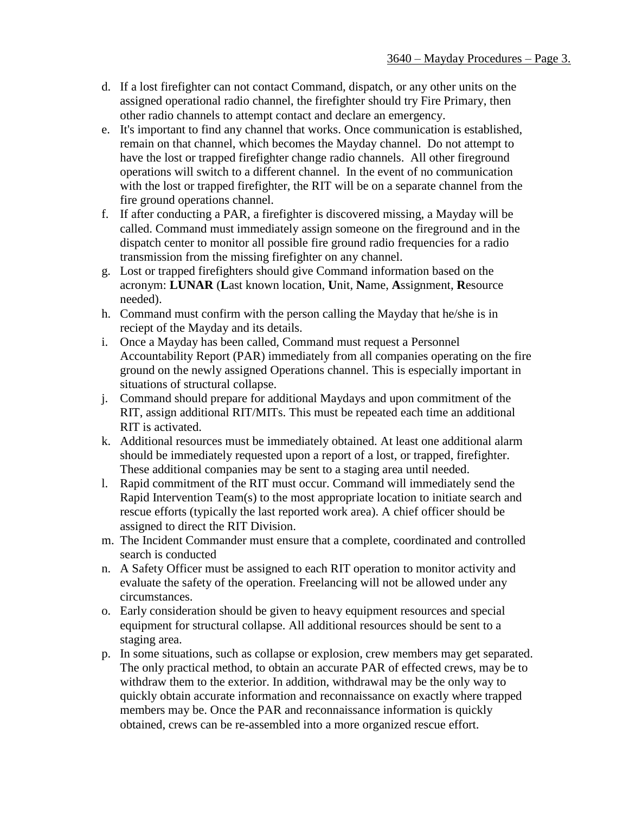- d. If a lost firefighter can not contact Command, dispatch, or any other units on the assigned operational radio channel, the firefighter should try Fire Primary, then other radio channels to attempt contact and declare an emergency.
- e. It's important to find any channel that works. Once communication is established, remain on that channel, which becomes the Mayday channel. Do not attempt to have the lost or trapped firefighter change radio channels. All other fireground operations will switch to a different channel. In the event of no communication with the lost or trapped firefighter, the RIT will be on a separate channel from the fire ground operations channel.
- f. If after conducting a PAR, a firefighter is discovered missing, a Mayday will be called. Command must immediately assign someone on the fireground and in the dispatch center to monitor all possible fire ground radio frequencies for a radio transmission from the missing firefighter on any channel.
- g. Lost or trapped firefighters should give Command information based on the acronym: **LUNAR** (**L**ast known location, **U**nit, **N**ame, **A**ssignment, **R**esource needed).
- h. Command must confirm with the person calling the Mayday that he/she is in reciept of the Mayday and its details.
- i. Once a Mayday has been called, Command must request a Personnel Accountability Report (PAR) immediately from all companies operating on the fire ground on the newly assigned Operations channel. This is especially important in situations of structural collapse.
- j. Command should prepare for additional Maydays and upon commitment of the RIT, assign additional RIT/MITs. This must be repeated each time an additional RIT is activated.
- k. Additional resources must be immediately obtained. At least one additional alarm should be immediately requested upon a report of a lost, or trapped, firefighter. These additional companies may be sent to a staging area until needed.
- l. Rapid commitment of the RIT must occur. Command will immediately send the Rapid Intervention Team(s) to the most appropriate location to initiate search and rescue efforts (typically the last reported work area). A chief officer should be assigned to direct the RIT Division.
- m. The Incident Commander must ensure that a complete, coordinated and controlled search is conducted
- n. A Safety Officer must be assigned to each RIT operation to monitor activity and evaluate the safety of the operation. Freelancing will not be allowed under any circumstances.
- o. Early consideration should be given to heavy equipment resources and special equipment for structural collapse. All additional resources should be sent to a staging area.
- p. In some situations, such as collapse or explosion, crew members may get separated. The only practical method, to obtain an accurate PAR of effected crews, may be to withdraw them to the exterior. In addition, withdrawal may be the only way to quickly obtain accurate information and reconnaissance on exactly where trapped members may be. Once the PAR and reconnaissance information is quickly obtained, crews can be re-assembled into a more organized rescue effort.